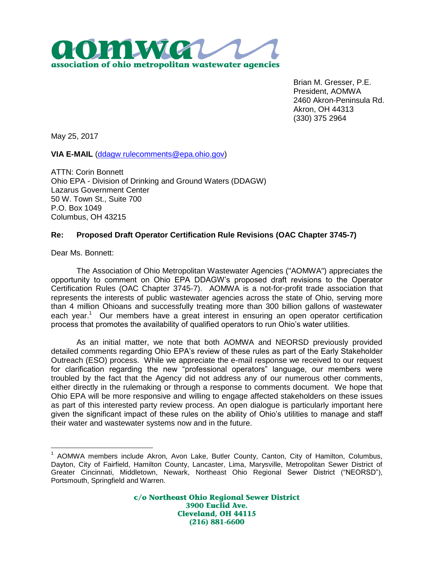

Brian M. Gresser, P.E. President, AOMWA 2460 Akron-Peninsula Rd. Akron, OH 44313 (330) 375 2964

May 25, 2017

**VIA E-MAIL** [\(ddagw rulecomments@epa.ohio.gov\)](mailto:ddagw%20rulecomments@epa.ohio.gov)

ATTN: Corin Bonnett Ohio EPA - Division of Drinking and Ground Waters (DDAGW) Lazarus Government Center 50 W. Town St., Suite 700 P.O. Box 1049 Columbus, OH 43215

## **Re: Proposed Draft Operator Certification Rule Revisions (OAC Chapter 3745-7)**

Dear Ms. Bonnett:

 $\overline{a}$ 

The Association of Ohio Metropolitan Wastewater Agencies ("AOMWA") appreciates the opportunity to comment on Ohio EPA DDAGW's proposed draft revisions to the Operator Certification Rules (OAC Chapter 3745-7). AOMWA is a not-for-profit trade association that represents the interests of public wastewater agencies across the state of Ohio, serving more than 4 million Ohioans and successfully treating more than 300 billion gallons of wastewater each year.<sup>1</sup> Our members have a great interest in ensuring an open operator certification process that promotes the availability of qualified operators to run Ohio's water utilities.

As an initial matter, we note that both AOMWA and NEORSD previously provided detailed comments regarding Ohio EPA's review of these rules as part of the Early Stakeholder Outreach (ESO) process. While we appreciate the e-mail response we received to our request for clarification regarding the new "professional operators" language, our members were troubled by the fact that the Agency did not address any of our numerous other comments, either directly in the rulemaking or through a response to comments document. We hope that Ohio EPA will be more responsive and willing to engage affected stakeholders on these issues as part of this interested party review process. An open dialogue is particularly important here given the significant impact of these rules on the ability of Ohio's utilities to manage and staff their water and wastewater systems now and in the future.

c/o Northeast Ohio Regional Sewer District 3900 Euclid Ave. **Cleveland, OH 44115**  $(216) 881 - 6600$ 

<sup>&</sup>lt;sup>1</sup> AOMWA members include Akron, Avon Lake, Butler County, Canton, City of Hamilton, Columbus, Dayton, City of Fairfield, Hamilton County, Lancaster, Lima, Marysville, Metropolitan Sewer District of Greater Cincinnati, Middletown, Newark, Northeast Ohio Regional Sewer District ("NEORSD"), Portsmouth, Springfield and Warren.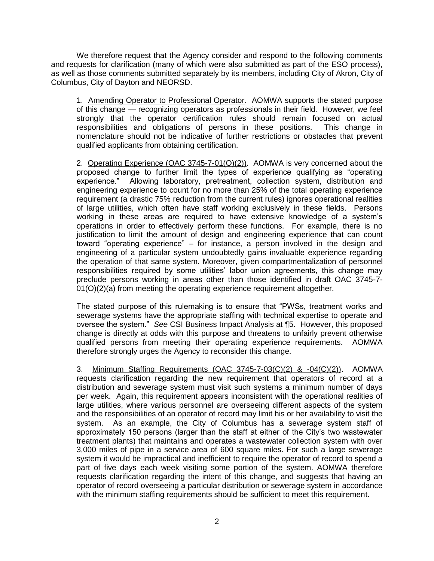We therefore request that the Agency consider and respond to the following comments and requests for clarification (many of which were also submitted as part of the ESO process), as well as those comments submitted separately by its members, including City of Akron, City of Columbus, City of Dayton and NEORSD.

1. Amending Operator to Professional Operator. AOMWA supports the stated purpose of this change — recognizing operators as professionals in their field. However, we feel strongly that the operator certification rules should remain focused on actual responsibilities and obligations of persons in these positions. This change in nomenclature should not be indicative of further restrictions or obstacles that prevent qualified applicants from obtaining certification.

2. Operating Experience (OAC 3745-7-01(O)(2)). AOMWA is very concerned about the proposed change to further limit the types of experience qualifying as "operating experience." Allowing laboratory, pretreatment, collection system, distribution and engineering experience to count for no more than 25% of the total operating experience requirement (a drastic 75% reduction from the current rules) ignores operational realities of large utilities, which often have staff working exclusively in these fields. Persons working in these areas are required to have extensive knowledge of a system's operations in order to effectively perform these functions. For example, there is no justification to limit the amount of design and engineering experience that can count toward "operating experience" – for instance, a person involved in the design and engineering of a particular system undoubtedly gains invaluable experience regarding the operation of that same system. Moreover, given compartmentalization of personnel responsibilities required by some utilities' labor union agreements, this change may preclude persons working in areas other than those identified in draft OAC 3745-7- 01(O)(2)(a) from meeting the operating experience requirement altogether.

The stated purpose of this rulemaking is to ensure that "PWSs, treatment works and sewerage systems have the appropriate staffing with technical expertise to operate and oversee the system." *See* CSI Business Impact Analysis at ¶5. However, this proposed change is directly at odds with this purpose and threatens to unfairly prevent otherwise qualified persons from meeting their operating experience requirements. AOMWA therefore strongly urges the Agency to reconsider this change.

3. Minimum Staffing Requirements (OAC 3745-7-03(C)(2) & -04(C)(2)). AOMWA requests clarification regarding the new requirement that operators of record at a distribution and sewerage system must visit such systems a minimum number of days per week. Again, this requirement appears inconsistent with the operational realities of large utilities, where various personnel are overseeing different aspects of the system and the responsibilities of an operator of record may limit his or her availability to visit the system. As an example, the City of Columbus has a sewerage system staff of approximately 150 persons (larger than the staff at either of the City's two wastewater treatment plants) that maintains and operates a wastewater collection system with over 3,000 miles of pipe in a service area of 600 square miles. For such a large sewerage system it would be impractical and inefficient to require the operator of record to spend a part of five days each week visiting some portion of the system. AOMWA therefore requests clarification regarding the intent of this change, and suggests that having an operator of record overseeing a particular distribution or sewerage system in accordance with the minimum staffing requirements should be sufficient to meet this requirement.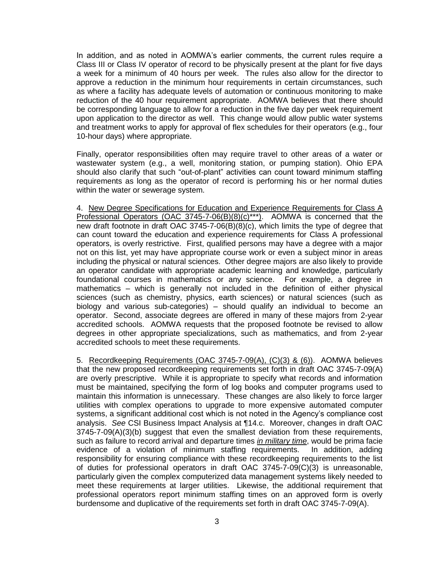In addition, and as noted in AOMWA's earlier comments, the current rules require a Class III or Class IV operator of record to be physically present at the plant for five days a week for a minimum of 40 hours per week. The rules also allow for the director to approve a reduction in the minimum hour requirements in certain circumstances, such as where a facility has adequate levels of automation or continuous monitoring to make reduction of the 40 hour requirement appropriate. AOMWA believes that there should be corresponding language to allow for a reduction in the five day per week requirement upon application to the director as well. This change would allow public water systems and treatment works to apply for approval of flex schedules for their operators (e.g., four 10-hour days) where appropriate.

Finally, operator responsibilities often may require travel to other areas of a water or wastewater system (e.g., a well, monitoring station, or pumping station). Ohio EPA should also clarify that such "out-of-plant" activities can count toward minimum staffing requirements as long as the operator of record is performing his or her normal duties within the water or sewerage system.

4. New Degree Specifications for Education and Experience Requirements for Class A Professional Operators (OAC 3745-7-06(B)(8)(c)\*\*\*). AOMWA is concerned that the new draft footnote in draft OAC 3745-7-06(B)(8)(c), which limits the type of degree that can count toward the education and experience requirements for Class A professional operators, is overly restrictive. First, qualified persons may have a degree with a major not on this list, yet may have appropriate course work or even a subject minor in areas including the physical or natural sciences. Other degree majors are also likely to provide an operator candidate with appropriate academic learning and knowledge, particularly foundational courses in mathematics or any science. For example, a degree in mathematics – which is generally not included in the definition of either physical sciences (such as chemistry, physics, earth sciences) or natural sciences (such as biology and various sub-categories) – should qualify an individual to become an operator. Second, associate degrees are offered in many of these majors from 2-year accredited schools. AOMWA requests that the proposed footnote be revised to allow degrees in other appropriate specializations, such as mathematics, and from 2-year accredited schools to meet these requirements.

5. Recordkeeping Requirements (OAC 3745-7-09(A), (C)(3) & (6)). AOMWA believes that the new proposed recordkeeping requirements set forth in draft OAC 3745-7-09(A) are overly prescriptive. While it is appropriate to specify what records and information must be maintained, specifying the form of log books and computer programs used to maintain this information is unnecessary. These changes are also likely to force larger utilities with complex operations to upgrade to more expensive automated computer systems, a significant additional cost which is not noted in the Agency's compliance cost analysis. *See* CSI Business Impact Analysis at ¶14.c. Moreover, changes in draft OAC  $3745-7-09(A)(3)(b)$  suggest that even the smallest deviation from these requirements, such as failure to record arrival and departure times *in military time*, would be prima facie evidence of a violation of minimum staffing requirements. In addition, adding responsibility for ensuring compliance with these recordkeeping requirements to the list of duties for professional operators in draft OAC 3745-7-09(C)(3) is unreasonable, particularly given the complex computerized data management systems likely needed to meet these requirements at larger utilities. Likewise, the additional requirement that professional operators report minimum staffing times on an approved form is overly burdensome and duplicative of the requirements set forth in draft OAC 3745-7-09(A).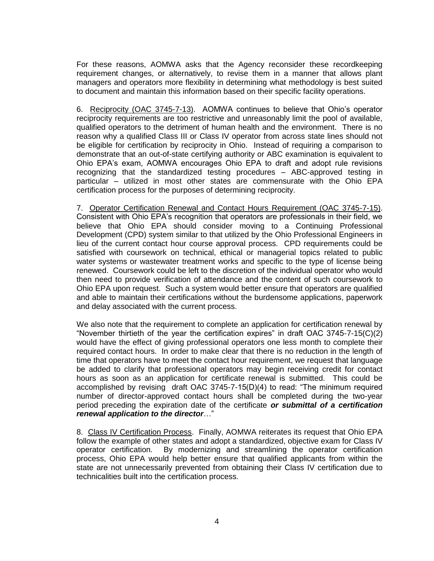For these reasons, AOMWA asks that the Agency reconsider these recordkeeping requirement changes, or alternatively, to revise them in a manner that allows plant managers and operators more flexibility in determining what methodology is best suited to document and maintain this information based on their specific facility operations.

6. Reciprocity (OAC 3745-7-13). AOMWA continues to believe that Ohio's operator reciprocity requirements are too restrictive and unreasonably limit the pool of available, qualified operators to the detriment of human health and the environment. There is no reason why a qualified Class III or Class IV operator from across state lines should not be eligible for certification by reciprocity in Ohio. Instead of requiring a comparison to demonstrate that an out-of-state certifying authority or ABC examination is equivalent to Ohio EPA's exam, AOMWA encourages Ohio EPA to draft and adopt rule revisions recognizing that the standardized testing procedures – ABC-approved testing in particular – utilized in most other states are commensurate with the Ohio EPA certification process for the purposes of determining reciprocity.

7. Operator Certification Renewal and Contact Hours Requirement (OAC 3745-7-15). Consistent with Ohio EPA's recognition that operators are professionals in their field, we believe that Ohio EPA should consider moving to a Continuing Professional Development (CPD) system similar to that utilized by the Ohio Professional Engineers in lieu of the current contact hour course approval process. CPD requirements could be satisfied with coursework on technical, ethical or managerial topics related to public water systems or wastewater treatment works and specific to the type of license being renewed. Coursework could be left to the discretion of the individual operator who would then need to provide verification of attendance and the content of such coursework to Ohio EPA upon request. Such a system would better ensure that operators are qualified and able to maintain their certifications without the burdensome applications, paperwork and delay associated with the current process.

We also note that the requirement to complete an application for certification renewal by "November thirtieth of the year the certification expires" in draft OAC 3745-7-15(C)(2) would have the effect of giving professional operators one less month to complete their required contact hours. In order to make clear that there is no reduction in the length of time that operators have to meet the contact hour requirement, we request that language be added to clarify that professional operators may begin receiving credit for contact hours as soon as an application for certificate renewal is submitted. This could be accomplished by revising draft OAC 3745-7-15(D)(4) to read: "The minimum required number of director-approved contact hours shall be completed during the two-year period preceding the expiration date of the certificate *or submittal of a certification renewal application to the director*…"

8. Class IV Certification Process. Finally, AOMWA reiterates its request that Ohio EPA follow the example of other states and adopt a standardized, objective exam for Class IV operator certification. By modernizing and streamlining the operator certification process, Ohio EPA would help better ensure that qualified applicants from within the state are not unnecessarily prevented from obtaining their Class IV certification due to technicalities built into the certification process.